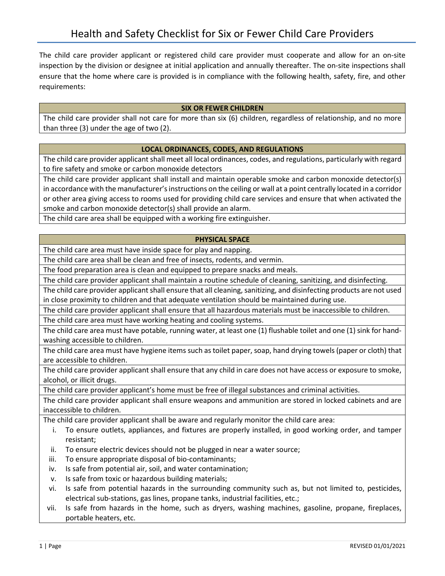The child care provider applicant or registered child care provider must cooperate and allow for an on-site inspection by the division or designee at initial application and annually thereafter. The on-site inspections shall ensure that the home where care is provided is in compliance with the following health, safety, fire, and other requirements:

# **SIX OR FEWER CHILDREN**

The child care provider shall not care for more than six (6) children, regardless of relationship, and no more than three (3) under the age of two (2).

## **LOCAL ORDINANCES, CODES, AND REGULATIONS**

The child care provider applicant shall meet all local ordinances, codes, and regulations, particularly with regard to fire safety and smoke or carbon monoxide detectors

The child care provider applicant shall install and maintain operable smoke and carbon monoxide detector(s) in accordance with the manufacturer's instructions on the ceiling or wall at a point centrally located in a corridor or other area giving access to rooms used for providing child care services and ensure that when activated the smoke and carbon monoxide detector(s) shall provide an alarm.

The child care area shall be equipped with a working fire extinguisher.

#### **PHYSICAL SPACE**

The child care area must have inside space for play and napping.

The child care area shall be clean and free of insects, rodents, and vermin.

The food preparation area is clean and equipped to prepare snacks and meals.

The child care provider applicant shall maintain a routine schedule of cleaning, sanitizing, and disinfecting.

The child care provider applicant shall ensure that all cleaning, sanitizing, and disinfecting products are not used in close proximity to children and that adequate ventilation should be maintained during use.

The child care provider applicant shall ensure that all hazardous materials must be inaccessible to children.

The child care area must have working heating and cooling systems.

The child care area must have potable, running water, at least one (1) flushable toilet and one (1) sink for handwashing accessible to children.

The child care area must have hygiene items such as toilet paper, soap, hand drying towels (paper or cloth) that are accessible to children.

The child care provider applicant shall ensure that any child in care does not have access or exposure to smoke, alcohol, or illicit drugs.

The child care provider applicant's home must be free of illegal substances and criminal activities.

The child care provider applicant shall ensure weapons and ammunition are stored in locked cabinets and are inaccessible to children.

The child care provider applicant shall be aware and regularly monitor the child care area:

- i. To ensure outlets, appliances, and fixtures are properly installed, in good working order, and tamper resistant;
- ii. To ensure electric devices should not be plugged in near a water source;
- iii. To ensure appropriate disposal of bio-contaminants;
- iv. Is safe from potential air, soil, and water contamination;
- v. Is safe from toxic or hazardous building materials;
- vi. Is safe from potential hazards in the surrounding community such as, but not limited to, pesticides, electrical sub-stations, gas lines, propane tanks, industrial facilities, etc.;
- vii. Is safe from hazards in the home, such as dryers, washing machines, gasoline, propane, fireplaces, portable heaters, etc.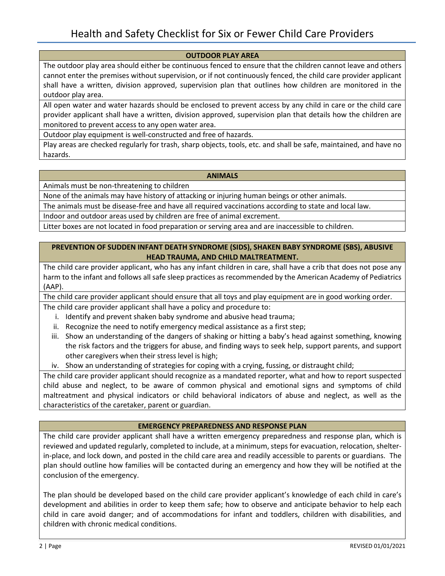#### **OUTDOOR PLAY AREA**

The outdoor play area should either be continuous fenced to ensure that the children cannot leave and others cannot enter the premises without supervision, or if not continuously fenced, the child care provider applicant shall have a written, division approved, supervision plan that outlines how children are monitored in the outdoor play area.

All open water and water hazards should be enclosed to prevent access by any child in care or the child care provider applicant shall have a written, division approved, supervision plan that details how the children are monitored to prevent access to any open water area.

Outdoor play equipment is well-constructed and free of hazards.

Play areas are checked regularly for trash, sharp objects, tools, etc. and shall be safe, maintained, and have no hazards.

#### **ANIMALS**

Animals must be non-threatening to children

None of the animals may have history of attacking or injuring human beings or other animals.

The animals must be disease-free and have all required vaccinations according to state and local law.

Indoor and outdoor areas used by children are free of animal excrement.

Litter boxes are not located in food preparation or serving area and are inaccessible to children.

## **PREVENTION OF SUDDEN INFANT DEATH SYNDROME (SIDS), SHAKEN BABY SYNDROME (SBS), ABUSIVE HEAD TRAUMA, AND CHILD MALTREATMENT.**

The child care provider applicant, who has any infant children in care, shall have a crib that does not pose any harm to the infant and follows all safe sleep practices as recommended by the American Academy of Pediatrics (AAP).

The child care provider applicant should ensure that all toys and play equipment are in good working order.

The child care provider applicant shall have a policy and procedure to:

- i. Identify and prevent shaken baby syndrome and abusive head trauma;
- ii. Recognize the need to notify emergency medical assistance as a first step;
- iii. Show an understanding of the dangers of shaking or hitting a baby's head against something, knowing the risk factors and the triggers for abuse, and finding ways to seek help, support parents, and support other caregivers when their stress level is high;
- iv. Show an understanding of strategies for coping with a crying, fussing, or distraught child;

The child care provider applicant should recognize as a mandated reporter, what and how to report suspected child abuse and neglect, to be aware of common physical and emotional signs and symptoms of child maltreatment and physical indicators or child behavioral indicators of abuse and neglect, as well as the characteristics of the caretaker, parent or guardian.

## **EMERGENCY PREPAREDNESS AND RESPONSE PLAN**

The child care provider applicant shall have a written emergency preparedness and response plan, which is reviewed and updated regularly, completed to include, at a minimum, steps for evacuation, relocation, shelterin-place, and lock down, and posted in the child care area and readily accessible to parents or guardians. The plan should outline how families will be contacted during an emergency and how they will be notified at the conclusion of the emergency.

The plan should be developed based on the child care provider applicant's knowledge of each child in care's development and abilities in order to keep them safe; how to observe and anticipate behavior to help each child in care avoid danger; and of accommodations for infant and toddlers, children with disabilities, and children with chronic medical conditions.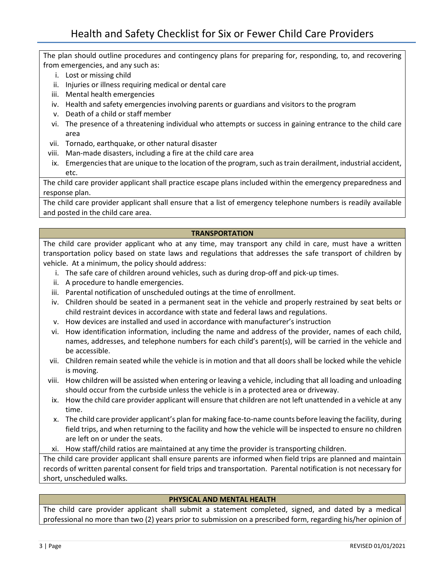The plan should outline procedures and contingency plans for preparing for, responding, to, and recovering from emergencies, and any such as:

- i. Lost or missing child
- ii. Injuries or illness requiring medical or dental care
- iii. Mental health emergencies
- iv. Health and safety emergencies involving parents or guardians and visitors to the program
- v. Death of a child or staff member
- vi. The presence of a threatening individual who attempts or success in gaining entrance to the child care area
- vii. Tornado, earthquake, or other natural disaster
- viii. Man-made disasters, including a fire at the child care area
- ix. Emergencies that are unique to the location of the program, such as train derailment, industrial accident, etc.

The child care provider applicant shall practice escape plans included within the emergency preparedness and response plan.

The child care provider applicant shall ensure that a list of emergency telephone numbers is readily available and posted in the child care area.

#### **TRANSPORTATION**

The child care provider applicant who at any time, may transport any child in care, must have a written transportation policy based on state laws and regulations that addresses the safe transport of children by vehicle. At a minimum, the policy should address:

- i. The safe care of children around vehicles, such as during drop-off and pick-up times.
- ii. A procedure to handle emergencies.
- iii. Parental notification of unscheduled outings at the time of enrollment.
- iv. Children should be seated in a permanent seat in the vehicle and properly restrained by seat belts or child restraint devices in accordance with state and federal laws and regulations.
- v. How devices are installed and used in accordance with manufacturer's instruction
- vi. How identification information, including the name and address of the provider, names of each child, names, addresses, and telephone numbers for each child's parent(s), will be carried in the vehicle and be accessible.
- vii. Children remain seated while the vehicle is in motion and that all doors shall be locked while the vehicle is moving.
- viii. How children will be assisted when entering or leaving a vehicle, including that all loading and unloading should occur from the curbside unless the vehicle is in a protected area or driveway.
- ix. How the child care provider applicant will ensure that children are not left unattended in a vehicle at any time.
- x. The child care provider applicant's plan for making face-to-name counts before leaving the facility, during field trips, and when returning to the facility and how the vehicle will be inspected to ensure no children are left on or under the seats.
- xi. How staff/child ratios are maintained at any time the provider is transporting children.

The child care provider applicant shall ensure parents are informed when field trips are planned and maintain records of written parental consent for field trips and transportation. Parental notification is not necessary for short, unscheduled walks.

## **PHYSICAL AND MENTAL HEALTH**

The child care provider applicant shall submit a statement completed, signed, and dated by a medical professional no more than two (2) years prior to submission on a prescribed form, regarding his/her opinion of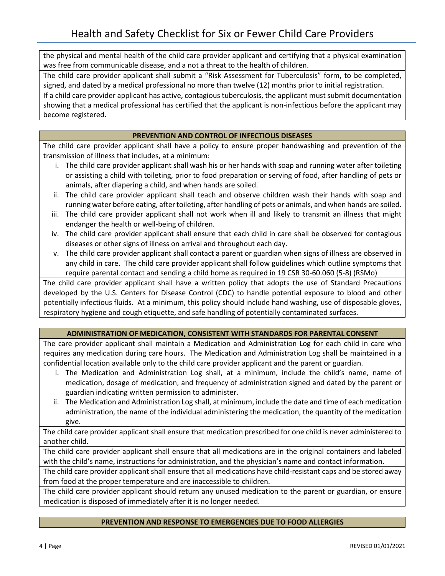the physical and mental health of the child care provider applicant and certifying that a physical examination was free from communicable disease, and a not a threat to the health of children.

The child care provider applicant shall submit a "Risk Assessment for Tuberculosis" form, to be completed, signed, and dated by a medical professional no more than twelve (12) months prior to initial registration.

If a child care provider applicant has active, contagious tuberculosis, the applicant must submit documentation showing that a medical professional has certified that the applicant is non-infectious before the applicant may become registered.

## **PREVENTION AND CONTROL OF INFECTIOUS DISEASES**

The child care provider applicant shall have a policy to ensure proper handwashing and prevention of the transmission of illness that includes, at a minimum:

- i. The child care provider applicant shall wash his or her hands with soap and running water after toileting or assisting a child with toileting, prior to food preparation or serving of food, after handling of pets or animals, after diapering a child, and when hands are soiled.
- ii. The child care provider applicant shall teach and observe children wash their hands with soap and running water before eating, after toileting, after handling of pets or animals, and when hands are soiled.
- iii. The child care provider applicant shall not work when ill and likely to transmit an illness that might endanger the health or well-being of children.
- iv. The child care provider applicant shall ensure that each child in care shall be observed for contagious diseases or other signs of illness on arrival and throughout each day.
- v. The child care provider applicant shall contact a parent or guardian when signs of illness are observed in any child in care. The child care provider applicant shall follow guidelines which outline symptoms that require parental contact and sending a child home as required in 19 CSR 30-60.060 (5-8) (RSMo)

The child care provider applicant shall have a written policy that adopts the use of Standard Precautions developed by the U.S. Centers for Disease Control (CDC) to handle potential exposure to blood and other potentially infectious fluids. At a minimum, this policy should include hand washing, use of disposable gloves, respiratory hygiene and cough etiquette, and safe handling of potentially contaminated surfaces.

# **ADMINISTRATION OF MEDICATION, CONSISTENT WITH STANDARDS FOR PARENTAL CONSENT**

The care provider applicant shall maintain a Medication and Administration Log for each child in care who requires any medication during care hours. The Medication and Administration Log shall be maintained in a confidential location available only to the child care provider applicant and the parent or guardian.

- i. The Medication and Administration Log shall, at a minimum, include the child's name, name of medication, dosage of medication, and frequency of administration signed and dated by the parent or guardian indicating written permission to administer.
- ii. The Medication and Administration Log shall, at minimum, include the date and time of each medication administration, the name of the individual administering the medication, the quantity of the medication give.

The child care provider applicant shall ensure that medication prescribed for one child is never administered to another child.

The child care provider applicant shall ensure that all medications are in the original containers and labeled with the child's name, instructions for administration, and the physician's name and contact information.

The child care provider applicant shall ensure that all medications have child-resistant caps and be stored away from food at the proper temperature and are inaccessible to children.

The child care provider applicant should return any unused medication to the parent or guardian, or ensure medication is disposed of immediately after it is no longer needed.

## **PREVENTION AND RESPONSE TO EMERGENCIES DUE TO FOOD ALLERGIES**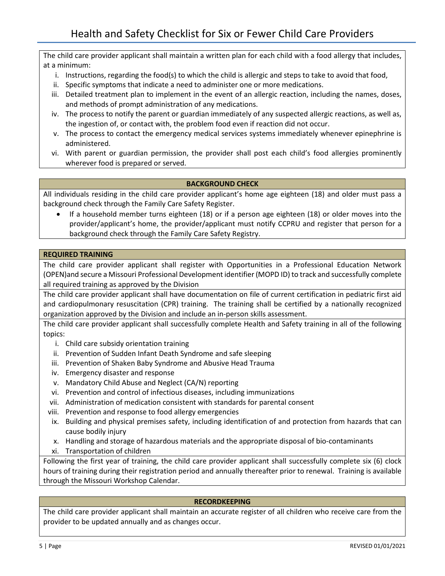The child care provider applicant shall maintain a written plan for each child with a food allergy that includes, at a minimum:

- i. Instructions, regarding the food(s) to which the child is allergic and steps to take to avoid that food,
- ii. Specific symptoms that indicate a need to administer one or more medications.
- iii. Detailed treatment plan to implement in the event of an allergic reaction, including the names, doses, and methods of prompt administration of any medications.
- iv. The process to notify the parent or guardian immediately of any suspected allergic reactions, as well as, the ingestion of, or contact with, the problem food even if reaction did not occur.
- v. The process to contact the emergency medical services systems immediately whenever epinephrine is administered.
- vi. With parent or guardian permission, the provider shall post each child's food allergies prominently wherever food is prepared or served.

# **BACKGROUND CHECK**

All individuals residing in the child care provider applicant's home age eighteen (18) and older must pass a background check through the Family Care Safety Register.

• If a household member turns eighteen (18) or if a person age eighteen (18) or older moves into the provider/applicant's home, the provider/applicant must notify CCPRU and register that person for a background check through the Family Care Safety Registry.

#### **REQUIRED TRAINING**

The child care provider applicant shall register with Opportunities in a Professional Education Network (OPEN)and secure a Missouri Professional Development identifier (MOPD ID) to track and successfully complete all required training as approved by the Division

The child care provider applicant shall have documentation on file of current certification in pediatric first aid and cardiopulmonary resuscitation (CPR) training. The training shall be certified by a nationally recognized organization approved by the Division and include an in-person skills assessment.

The child care provider applicant shall successfully complete Health and Safety training in all of the following topics:

- i. Child care subsidy orientation training
- ii. Prevention of Sudden Infant Death Syndrome and safe sleeping
- iii. Prevention of Shaken Baby Syndrome and Abusive Head Trauma
- iv. Emergency disaster and response
- v. Mandatory Child Abuse and Neglect (CA/N) reporting
- vi. Prevention and control of infectious diseases, including immunizations
- vii. Administration of medication consistent with standards for parental consent
- viii. Prevention and response to food allergy emergencies
- ix. Building and physical premises safety, including identification of and protection from hazards that can cause bodily injury
- x. Handling and storage of hazardous materials and the appropriate disposal of bio-contaminants
- xi. Transportation of children

Following the first year of training, the child care provider applicant shall successfully complete six (6) clock hours of training during their registration period and annually thereafter prior to renewal. Training is available through the Missouri Workshop Calendar.

## **RECORDKEEPING**

The child care provider applicant shall maintain an accurate register of all children who receive care from the provider to be updated annually and as changes occur.